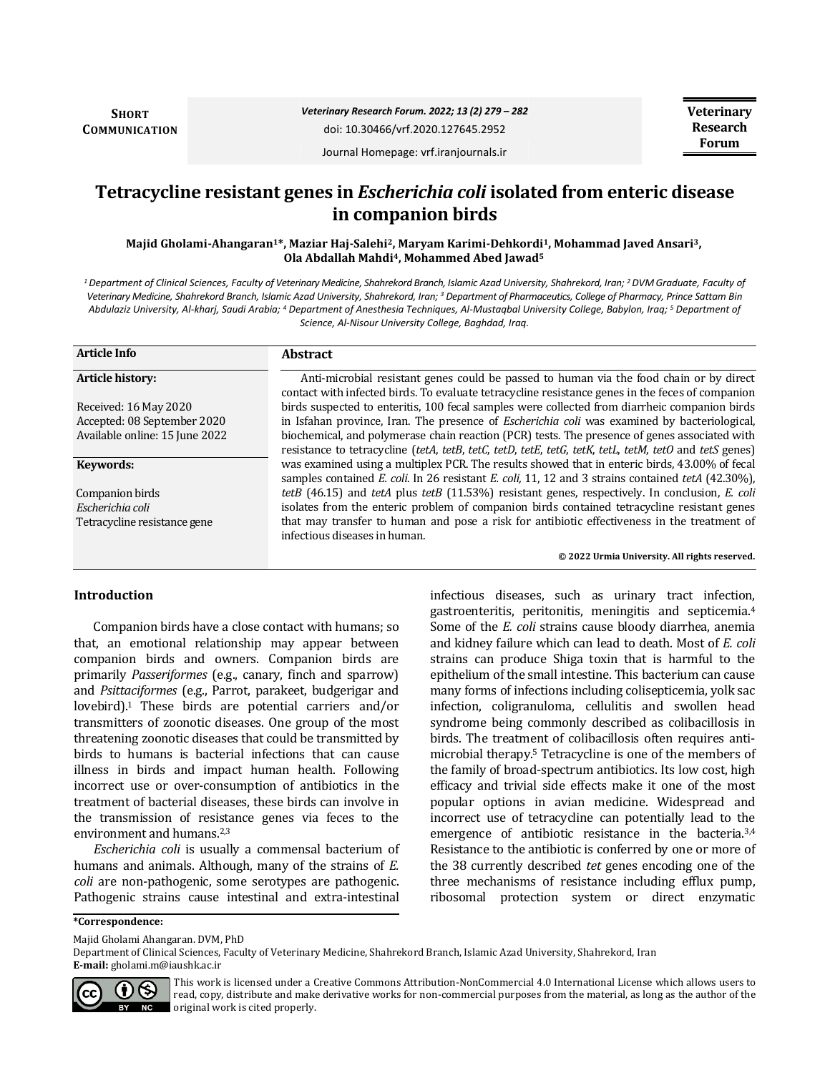**SHORT COMMUNICATION** *Veterinary Research Forum. 2022; 13 (2) 279 – 282*

doi: 10.30466/vrf.2020.127645.2952

Journal Homepage: vrf.iranjournals.ir

# **Tetracycline resistant genes in** *Escherichia coli* **isolated from enteric disease in companion birds**

**Majid Gholami-Ahangaran1\*, Maziar Haj-Salehi2, Maryam Karimi-Dehkordi1, Mohammad Javed Ansari3, Ola Abdallah Mahdi4, Mohammed Abed Jawad<sup>5</sup>**

*<sup>1</sup>Department of Clinical Sciences, Faculty of Veterinary Medicine, Shahrekord Branch, Islamic Azad University, Shahrekord, Iran; <sup>2</sup>DVM Graduate, Faculty of Veterinary Medicine, Shahrekord Branch, Islamic Azad University, Shahrekord, Iran; <sup>3</sup> Department of Pharmaceutics, College of Pharmacy, Prince Sattam Bin Abdulaziz University, Al-kharj, Saudi Arabia; <sup>4</sup> Department of Anesthesia Techniques, Al-Mustaqbal University College, Babylon, Iraq; <sup>5</sup> Department of Science, Al-Nisour University College, Baghdad, Iraq.*

| <b>Article Info</b>            | <b>Abstract</b>                                                                                                                                                                             |
|--------------------------------|---------------------------------------------------------------------------------------------------------------------------------------------------------------------------------------------|
| Article history:               | Anti-microbial resistant genes could be passed to human via the food chain or by direct<br>contact with infected birds. To evaluate tetracycline resistance genes in the feces of companion |
| Received: 16 May 2020          | birds suspected to enteritis, 100 fecal samples were collected from diarrheic companion birds                                                                                               |
| Accepted: 08 September 2020    | in Isfahan province, Iran. The presence of <i>Escherichia coli</i> was examined by bacteriological,                                                                                         |
| Available online: 15 June 2022 | biochemical, and polymerase chain reaction (PCR) tests. The presence of genes associated with                                                                                               |
|                                | resistance to tetracycline (tetA, tetB, tetC, tetD, tetE, tetG, tetK, tetL, tetM, tetO and tetS genes)                                                                                      |
| Keywords:                      | was examined using a multiplex PCR. The results showed that in enteric birds, 43.00% of fecal                                                                                               |
|                                | samples contained E. coli. In 26 resistant E. coli, 11, 12 and 3 strains contained tetA (42.30%),                                                                                           |
| Companion birds                | tetB (46.15) and tetA plus tetB (11.53%) resistant genes, respectively. In conclusion, E. coli                                                                                              |
| Escherichia coli               | isolates from the enteric problem of companion birds contained tetracycline resistant genes                                                                                                 |
| Tetracycline resistance gene   | that may transfer to human and pose a risk for antibiotic effectiveness in the treatment of<br>infectious diseases in human.                                                                |
|                                | © 2022 Urmia University. All rights reserved.                                                                                                                                               |

# **Introduction**

Companion birds have a close contact with humans; so that, an emotional relationship may appear between companion birds and owners. Companion birds are primarily *Passeriformes* (e.g., canary, finch and sparrow) and *Psittaciformes* (e.g., Parrot, parakeet, budgerigar and lovebird).1 These birds are potential carriers and/or transmitters of zoonotic diseases. One group of the most threatening zoonotic diseases that could be transmitted by birds to humans is bacterial infections that can cause illness in birds and impact human health. Following incorrect use or over-consumption of antibiotics in the treatment of bacterial diseases, these birds can involve in the transmission of resistance genes via feces to the environment and humans.2,3

*Escherichia coli* is usually a commensal bacterium of humans and animals. Although, many of the strains of *E. coli* are non-pathogenic, some serotypes are pathogenic. Pathogenic strains cause intestinal and extra-intestinal infectious diseases, such as urinary tract infection, gastroenteritis, peritonitis, meningitis and septicemia.<sup>4</sup> Some of the *E. coli* strains cause bloody diarrhea, anemia and kidney failure which can lead to death. Most of *E. coli*  strains can produce Shiga toxin that is harmful to the epithelium of the small intestine. This bacterium can cause many forms of infections including colisepticemia, yolk sac infection, coligranuloma, cellulitis and swollen head syndrome being commonly described as colibacillosis in birds. The treatment of colibacillosis often requires antimicrobial therapy.<sup>5</sup> Tetracycline is one of the members of the family of broad-spectrum antibiotics. Its low cost, high efficacy and trivial side effects make it one of the most popular options in avian medicine. Widespread and incorrect use of tetracycline can potentially lead to the emergence of antibiotic resistance in the bacteria.<sup>3,4</sup> Resistance to the antibiotic is conferred by one or more of the 38 currently described *tet* genes encoding one of the three mechanisms of resistance including efflux pump, ribosomal protection system or direct enzymatic

**\*Correspondence:**

Majid Gholami Ahangaran. DVM, PhD

Department of Clinical Sciences, Faculty of Veterinary Medicine, Shahrekord Branch, Islamic Azad University, Shahrekord, Iran **E-mail:** gholami.m@iaushk.ac.ir



This work is licensed under a [Creative Commons Attribution-NonCommercial 4.0 International License](http://creativecommons.org/licenses/by-nc/4.0/) which allows users to read, copy, distribute and make derivative works for non-commercial purposes from the material, as long as the author of the original work is cited properly.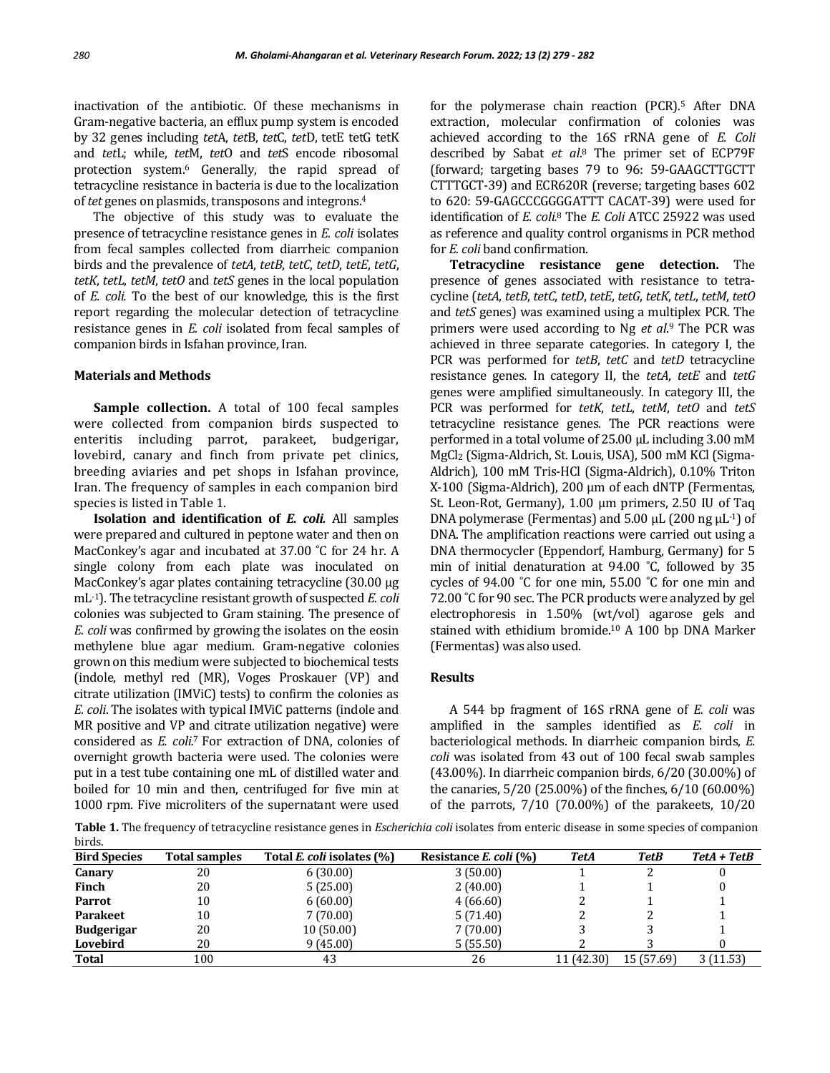inactivation of the antibiotic. Of these mechanisms in Gram-negative bacteria, an efflux pump system is encoded by 32 genes including *tet*A, *tet*B, *tet*C, *tet*D, tetE tetG tetK and *tet*L; while, *tet*M, *tet*O and *tet*S encode ribosomal protection system.<sup>6</sup> Generally, the rapid spread of tetracycline resistance in bacteria is due to the localization of *tet* genes on plasmids, transposons and integrons.<sup>4</sup>

The objective of this study was to evaluate the presence of tetracycline resistance genes in *E. coli* isolates from fecal samples collected from diarrheic companion birds and the prevalence of *tetA*, *tetB*, *tetC*, *tetD*, *tetE*, *tetG*, *tetK*, *tetL*, *tetM*, *tetO* and *tetS* genes in the local population of *E. coli.* To the best of our knowledge, this is the first report regarding the molecular detection of tetracycline resistance genes in *E. coli* isolated from fecal samples of companion birds in Isfahan province, Iran.

#### **Materials and Methods**

**Sample collection.** A total of 100 fecal samples were collected from companion birds suspected to enteritis including parrot, parakeet, budgerigar, lovebird, canary and finch from private pet clinics, breeding aviaries and pet shops in Isfahan province, Iran. The frequency of samples in each companion bird species is listed in Table 1.

**Isolation and identification of** *E. coli.* All samples were prepared and cultured in peptone water and then on MacConkey's agar and incubated at 37.00 °C for 24 hr. A single colony from each plate was inoculated on MacConkey's agar plates containing tetracycline (30.00 μg mL-1). The tetracycline resistant growth of suspected *E. coli*  colonies was subjected to Gram staining. The presence of *E. coli* was confirmed by growing the isolates on the eosin methylene blue agar medium. Gram-negative colonies grown on this medium were subjected to biochemical tests (indole, methyl red (MR), Voges Proskauer (VP) and citrate utilization (IMViC) tests) to confirm the colonies as *E. coli*. The isolates with typical IMViC patterns (indole and MR positive and VP and citrate utilization negative) were considered as *E. coli.*7 For extraction of DNA, colonies of overnight growth bacteria were used. The colonies were put in a test tube containing one mL of distilled water and boiled for 10 min and then, centrifuged for five min at 1000 rpm. Five microliters of the supernatant were used for the polymerase chain reaction (PCR).<sup>5</sup> After DNA extraction, molecular confirmation of colonies was achieved according to the 16S rRNA gene of *E. Coli*  described by Sabat *et al*. <sup>8</sup> The primer set of ECP79F (forward; targeting bases 79 to 96: 59-GAAGCTTGCTT CTTTGCT-39) and ECR620R (reverse; targeting bases 602 to 620: 59-GAGCCCGGGGATTT CACAT-39) were used for identification of *E. coli.*<sup>8</sup> The *E. Coli* ATCC 25922 was used as reference and quality control organisms in PCR method for *E. coli* band confirmation.

**Tetracycline resistance gene detection.** The presence of genes associated with resistance to tetracycline (*tetA*, *tetB*, *tetC*, *tetD*, *tetE*, *tetG*, *tetK*, *tetL*, *tetM*, *tetO*  and *tetS* genes) was examined using a multiplex PCR. The primers were used according to Ng *et al*. <sup>9</sup> The PCR was achieved in three separate categories. In category I, the PCR was performed for *tetB*, *tetC* and *tetD* tetracycline resistance genes*.* In category II, the *tetA*, *tetE* and *tetG*  genes were amplified simultaneously*.* In category III, the PCR was performed for *tetK*, *tetL*, *tetM*, *tetO* and *tetS*  tetracycline resistance genes*.* The PCR reactions were performed in a total volume of 25.00 μL including 3.00 mM MgCl<sup>2</sup> (Sigma-Aldrich, St. Louis, USA), 500 mM KCl (Sigma-Aldrich), 100 mM Tris-HCl (Sigma-Aldrich), 0.10% Triton X-100 (Sigma-Aldrich), 200 μm of each dNTP (Fermentas, St. Leon-Rot, Germany), 1.00 μm primers, 2.50 IU of Taq DNA polymerase (Fermentas) and  $5.00 \mu L$  (200 ng  $\mu L^{-1}$ ) of DNA. The amplification reactions were carried out using a DNA thermocycler (Eppendorf, Hamburg, Germany) for 5 min of initial denaturation at 94.00 ˚C, followed by 35 cycles of 94.00 ˚C for one min, 55.00 ˚C for one min and 72.00 °C for 90 sec. The PCR products were analyzed by gel electrophoresis in 1.50% (wt/vol) agarose gels and stained with ethidium bromide.<sup>10</sup> A 100 bp DNA Marker (Fermentas) was also used.

# **Results**

A 544 bp fragment of 16S rRNA gene of *E. coli* was amplified in the samples identified as *E. coli* in bacteriological methods. In diarrheic companion birds, *E. coli* was isolated from 43 out of 100 fecal swab samples (43.00%). In diarrheic companion birds, 6/20 (30.00%) of the canaries, 5/20 (25.00%) of the finches, 6/10 (60.00%) of the parrots, 7/10 (70.00%) of the parakeets, 10/20

**Table 1.** The frequency of tetracycline resistance genes in *Escherichia coli* isolates from enteric disease in some species of companion birds.

| <b>Bird Species</b> | <b>Total samples</b> | Total E. coli isolates (%) | Resistance E. coli (%) | TetA       | <b>TetB</b> | TetA + TetB |
|---------------------|----------------------|----------------------------|------------------------|------------|-------------|-------------|
| Canary              | 20                   | 6(30.00)                   | 3(50.00)               |            |             |             |
| Finch               | 20                   | 5(25.00)                   | 2(40.00)               |            |             |             |
| Parrot              | 10                   | 6(60.00)                   | 4(66.60)               |            |             |             |
| <b>Parakeet</b>     | 10                   | 7(70.00)                   | 5(71.40)               |            |             |             |
| <b>Budgerigar</b>   | 20                   | 10(50.00)                  | 7(70.00)               |            |             |             |
| Lovebird            | 20                   | 9(45.00)                   | 5(55.50)               |            |             |             |
| Total               | 100                  | 43                         | 26                     | 11 (42.30) | 15 (57.69)  | 3(11.53)    |
|                     |                      |                            |                        |            |             |             |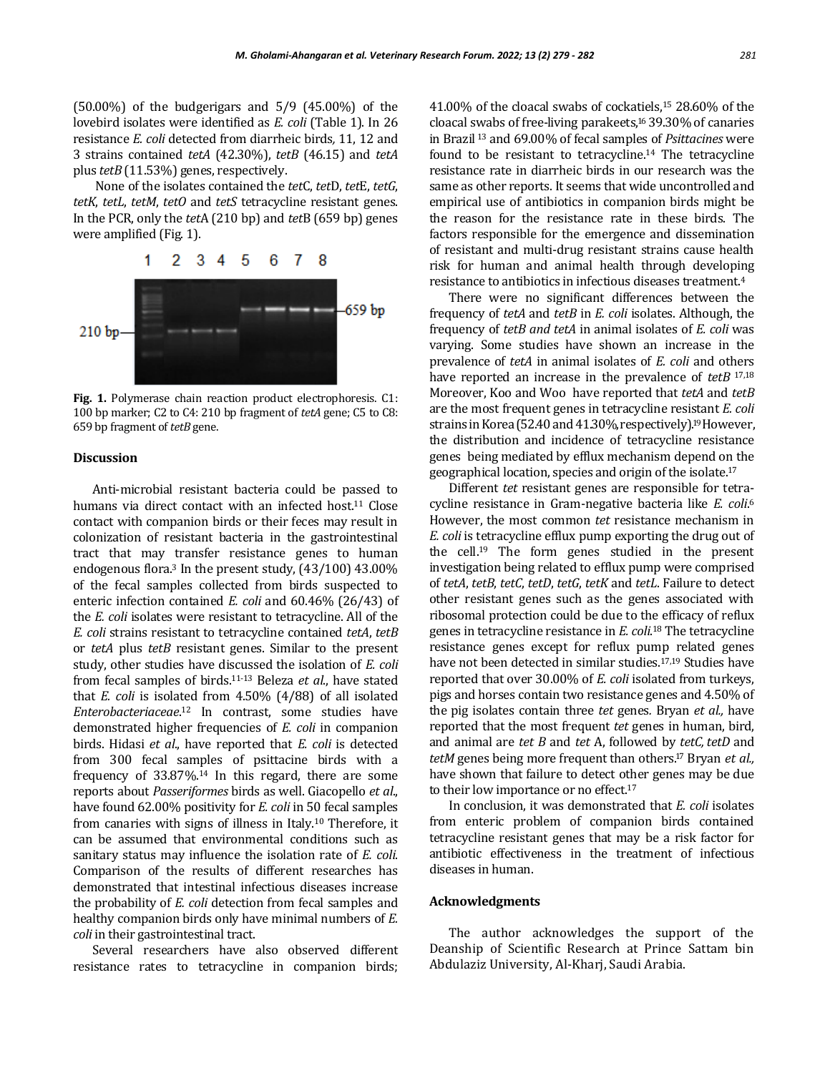(50.00%) of the budgerigars and 5/9 (45.00%) of the lovebird isolates were identified as *E. coli* (Table 1). In 26 resistance *E. coli* detected from diarrheic birds*,* 11, 12 and 3 strains contained *tetA* (42.30%), *tetB* (46.15) and *tetA*  plus *tetB* (11.53%) genes, respectively.

None of the isolates contained the *tet*C, *tet*D, *tet*E, *tetG*, *tetK*, *tetL*, *tetM*, *tetO* and *tetS* tetracycline resistant genes. In the PCR, only the *tet*A (210 bp) and *tet*B (659 bp) genes were amplified (Fig. 1).



**Fig. 1.** Polymerase chain reaction product electrophoresis. C1: 100 bp marker; C2 to C4: 210 bp fragment of *tetA* gene; C5 to C8: 659 bp fragment of *tetB* gene.

#### **Discussion**

Anti-microbial resistant bacteria could be passed to humans via direct contact with an infected host.<sup>11</sup> Close contact with companion birds or their feces may result in colonization of resistant bacteria in the gastrointestinal tract that may transfer resistance genes to human endogenous flora.<sup>3</sup> In the present study,  $(43/100)$   $43.00\%$ of the fecal samples collected from birds suspected to enteric infection contained *E. coli* and 60.46% (26/43) of the *E. coli* isolates were resistant to tetracycline. All of the *E. coli* strains resistant to tetracycline contained *tetA*, *tetB* or *tetA* plus *tetB* resistant genes. Similar to the present study, other studies have discussed the isolation of *E. coli* from fecal samples of birds.11-13 Beleza *et al*., have stated that *E. coli* is isolated from 4.50% (4/88) of all isolated *Enterobacteriaceae*. <sup>12</sup> In contrast, some studies have demonstrated higher frequencies of *E. coli* in companion birds. Hidasi *et al*., have reported that *E. coli* is detected from 300 fecal samples of psittacine birds with a frequency of 33.87%.<sup>14</sup> In this regard, there are some reports about *Passeriformes* birds as well. Giacopello *et al*., have found 62.00% positivity for *E. coli* in 50 fecal samples from canaries with signs of illness in Italy.<sup>10</sup> Therefore, it can be assumed that environmental conditions such as sanitary status may influence the isolation rate of *E. coli*. Comparison of the results of different researches has demonstrated that intestinal infectious diseases increase the probability of *E. coli* detection from fecal samples and healthy companion birds only have minimal numbers of *E. coli* in their gastrointestinal tract.

Several researchers have also observed different resistance rates to tetracycline in companion birds;

41.00% of the cloacal swabs of cockatiels,<sup>15</sup> 28.60% of the cloacal swabs of free-living parakeets, <sup>16</sup> 39.30% of canaries in Brazil <sup>13</sup> and 69.00% of fecal samples of *Psittacines* were found to be resistant to tetracycline.<sup>14</sup> The tetracycline resistance rate in diarrheic birds in our research was the same as other reports. It seems that wide uncontrolled and empirical use of antibiotics in companion birds might be the reason for the resistance rate in these birds. The factors responsible for the emergence and dissemination of resistant and multi-drug resistant strains cause health risk for human and animal health through developing resistance to antibiotics in infectious diseases treatment.<sup>4</sup>

There were no significant differences between the frequency of *tetA* and *tetB* in *E. coli* isolates. Although, the frequency of *tetB and tetA* in animal isolates of *E. coli* was varying. Some studies have shown an increase in the prevalence of *tetA* in animal isolates of *E. coli* and others have reported an increase in the prevalence of *tetB* 17,18 Moreover, Koo and Woo have reported that *tetA* and *tetB* are the most frequent genes in tetracycline resistant *E. coli*  strains in Korea (52.40 and 41.30%, respectively).<sup>19</sup> However, the distribution and incidence of tetracycline resistance genes being mediated by efflux mechanism depend on the geographical location, species and origin of the isolate.<sup>17</sup>

Different *tet* resistant genes are responsible for tetracycline resistance in Gram-negative bacteria like *E. coli*. 6 However, the most common *tet* resistance mechanism in *E. coli* is tetracycline efflux pump exporting the drug out of the cell. <sup>19</sup> The form genes studied in the present investigation being related to efflux pump were comprised of *tetA*, *tetB*, *tetC*, *tetD*, *tetG*, *tetK* and *tetL*. Failure to detect other resistant genes such as the genes associated with ribosomal protection could be due to the efficacy of reflux genes in tetracycline resistance in *E. coli*. <sup>18</sup> The tetracycline resistance genes except for reflux pump related genes have not been detected in similar studies.17,19 Studies have reported that over 30.00% of *E. coli* isolated from turkeys, pigs and horses contain two resistance genes and 4.50% of the pig isolates contain three *tet* genes*.* Bryan *et al.,* have reported that the most frequent *tet* genes in human, bird, and animal are *tet B* and *tet* A, followed by *tetC, tetD* and *tetM* genes being more frequent than others. <sup>17</sup> Bryan *et al.,* have shown that failure to detect other genes may be due to their low importance or no effect.<sup>17</sup>

In conclusion, it was demonstrated that *E. coli* isolates from enteric problem of companion birds contained tetracycline resistant genes that may be a risk factor for antibiotic effectiveness in the treatment of infectious diseases in human.

#### **Acknowledgments**

The author acknowledges the support of the Deanship of Scientific Research at Prince Sattam bin Abdulaziz University, Al-Kharj, Saudi Arabia.